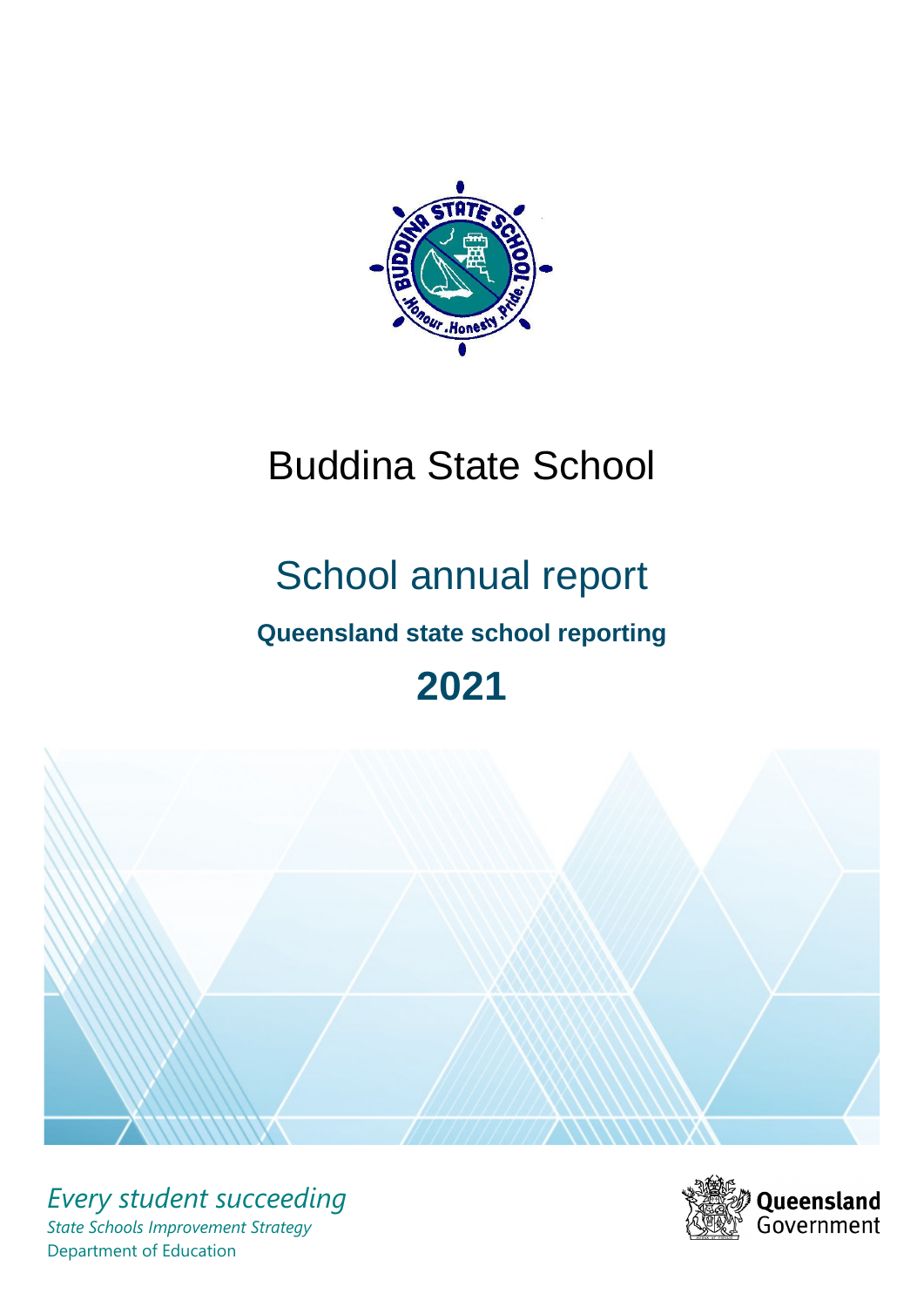

# Buddina State School

# School annual report

# **Queensland state school reporting**

# **2021**



*Every student succeeding State Schools Improvement Strategy* Department of Education

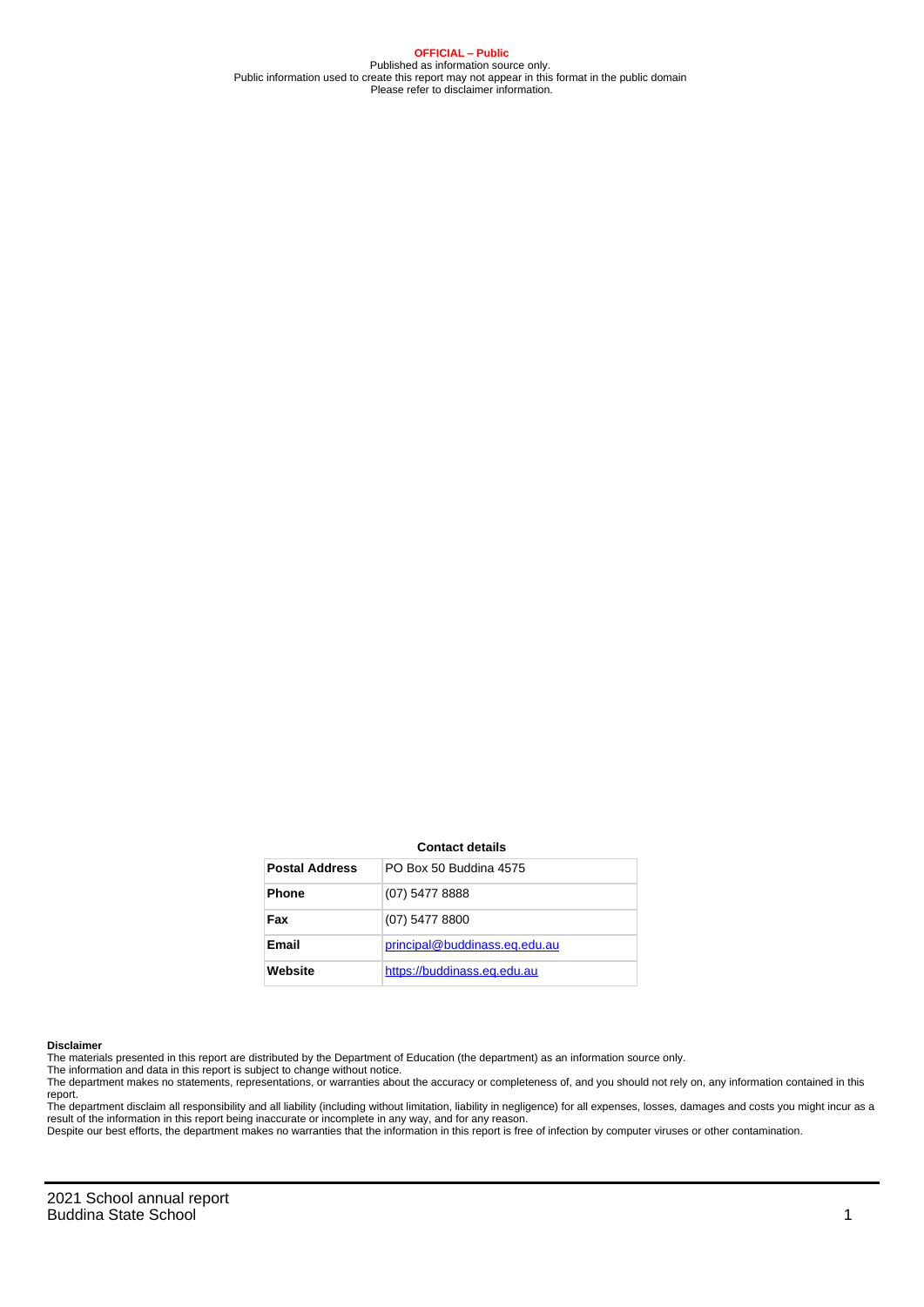**OFFICIAL – Public** Published as information source only. Public information used to create this report may not appear in this format in the public domain Please refer to disclaimer information.

#### **Contact details**

| <b>Postal Address</b> | PO Box 50 Buddina 4575        |
|-----------------------|-------------------------------|
| <b>Phone</b>          | (07) 5477 8888                |
| Fax                   | (07) 5477 8800                |
| Email                 | principal@buddinass.eq.edu.au |
| Website               | https://buddinass.eq.edu.au   |

#### **Disclaimer**

The materials presented in this report are distributed by the Department of Education (the department) as an information source only.

The information and data in this report is subject to change without notice.<br>The department makes no statements, representations, or warranties about the accuracy or completeness of, and you should not rely on, any informa report.

The department disclaim all responsibility and all liability (including without limitation, liability in negligence) for all expenses, losses, damages and costs you might incur as a result of the information in this report being inaccurate or incomplete in any way, and for any reason.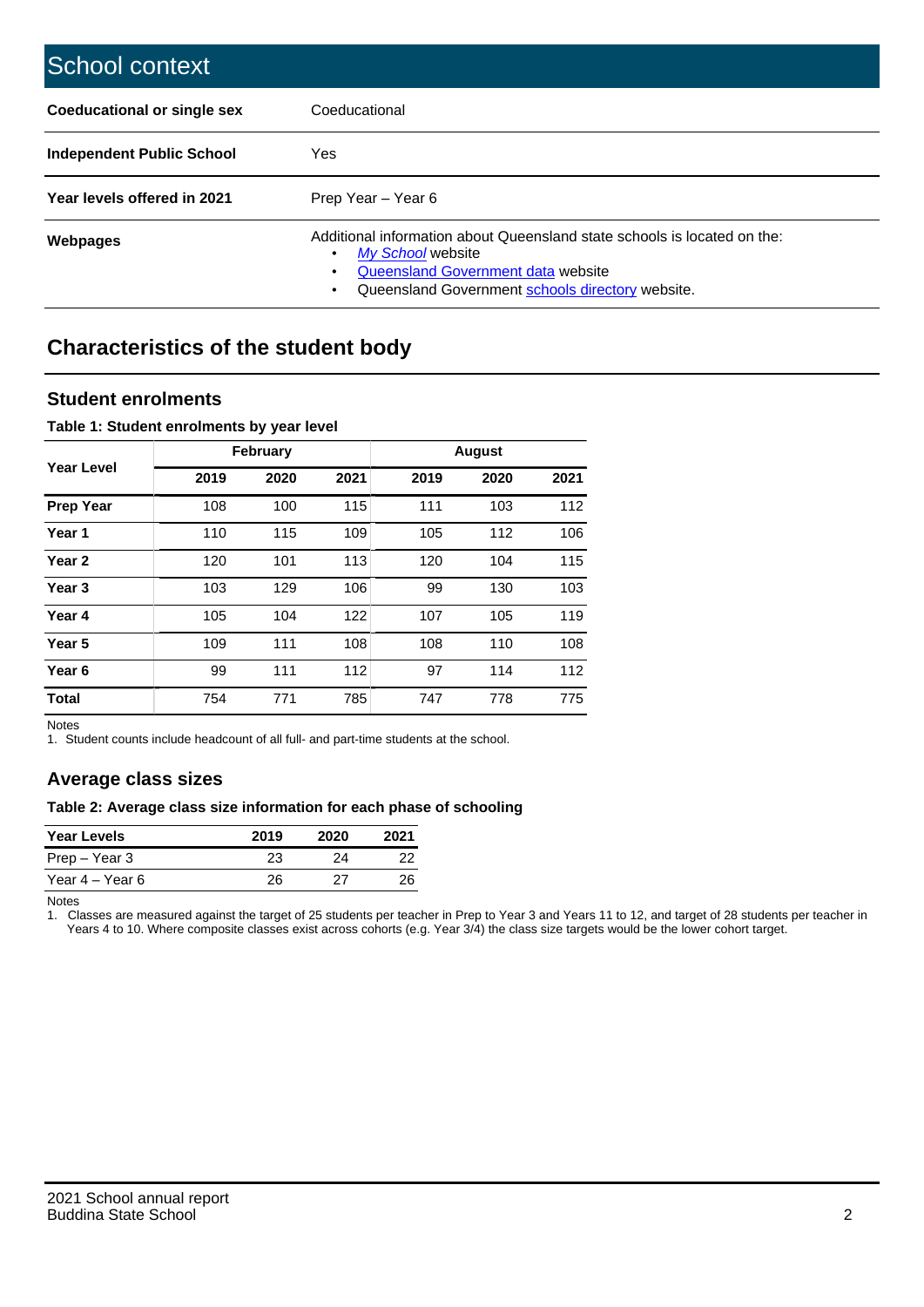| School context                   |                                                                                                                                                                                              |
|----------------------------------|----------------------------------------------------------------------------------------------------------------------------------------------------------------------------------------------|
| Coeducational or single sex      | Coeducational                                                                                                                                                                                |
| <b>Independent Public School</b> | Yes                                                                                                                                                                                          |
| Year levels offered in 2021      | Prep Year - Year 6                                                                                                                                                                           |
| Webpages                         | Additional information about Queensland state schools is located on the:<br>My School website<br>Queensland Government data website<br>Queensland Government schools directory website.<br>٠ |

# **Characteristics of the student body**

### **Student enrolments**

#### **Table 1: Student enrolments by year level**

|                   |      | <b>February</b> |      |      | <b>August</b> |      |
|-------------------|------|-----------------|------|------|---------------|------|
| Year Level        | 2019 | 2020            | 2021 | 2019 | 2020          | 2021 |
| <b>Prep Year</b>  | 108  | 100             | 115  | 111  | 103           | 112  |
| Year 1            | 110  | 115             | 109  | 105  | 112           | 106  |
| Year 2            | 120  | 101             | 113  | 120  | 104           | 115  |
| Year <sub>3</sub> | 103  | 129             | 106  | 99   | 130           | 103  |
| Year 4            | 105  | 104             | 122  | 107  | 105           | 119  |
| Year 5            | 109  | 111             | 108  | 108  | 110           | 108  |
| Year <sub>6</sub> | 99   | 111             | 112  | 97   | 114           | 112  |
| <b>Total</b>      | 754  | 771             | 785  | 747  | 778           | 775  |

Notes

1. Student counts include headcount of all full- and part-time students at the school.

## **Average class sizes**

#### **Table 2: Average class size information for each phase of schooling**

| <b>Year Levels</b> | 2019 | 2020 | 2021 |
|--------------------|------|------|------|
| Prep – Year 3      | 23   | 24   | 22   |
| Year 4 – Year 6    | 26   | 27   | 26   |

Notes

1. Classes are measured against the target of 25 students per teacher in Prep to Year 3 and Years 11 to 12, and target of 28 students per teacher in Years 4 to 10. Where composite classes exist across cohorts (e.g. Year 3/4) the class size targets would be the lower cohort target.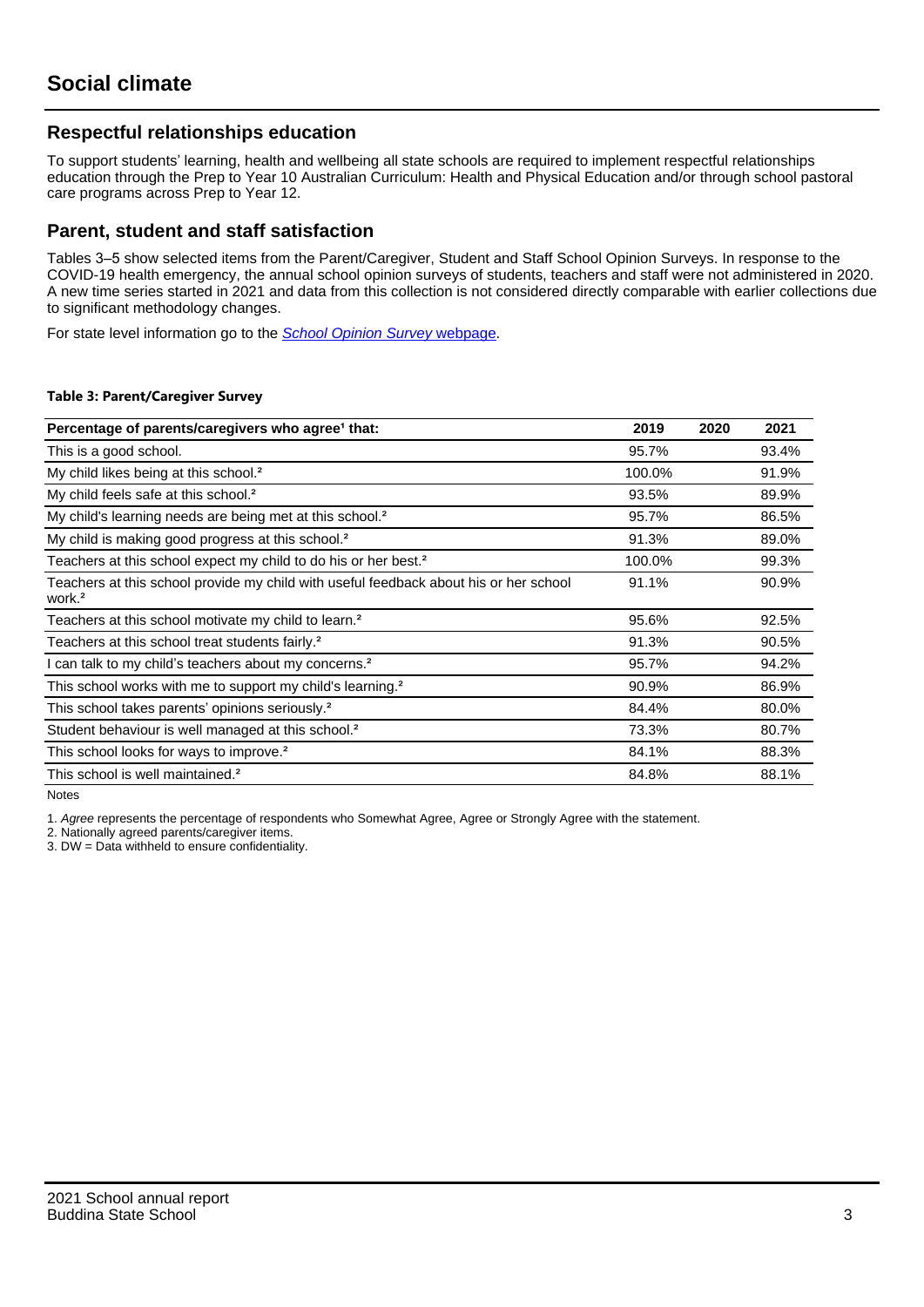## **Respectful relationships education**

To support students' learning, health and wellbeing all state schools are required to implement respectful relationships education through the Prep to Year 10 Australian Curriculum: Health and Physical Education and/or through school pastoral care programs across Prep to Year 12.

### **Parent, student and staff satisfaction**

Tables 3–5 show selected items from the Parent/Caregiver, Student and Staff School Opinion Surveys. In response to the COVID-19 health emergency, the annual school opinion surveys of students, teachers and staff were not administered in 2020. A new time series started in 2021 and data from this collection is not considered directly comparable with earlier collections due to significant methodology changes.

For state level information go to the **[School Opinion Survey](https://qed.qld.gov.au/publications/reports/statistics/schooling/schools/schoolopinionsurvey) webpage**.

#### **Table 3: Parent/Caregiver Survey**

| Percentage of parents/caregivers who agree <sup>1</sup> that:                                               | 2019   | 2020 | 2021  |
|-------------------------------------------------------------------------------------------------------------|--------|------|-------|
| This is a good school.                                                                                      | 95.7%  |      | 93.4% |
| My child likes being at this school. <sup>2</sup>                                                           | 100.0% |      | 91.9% |
| My child feels safe at this school. <sup>2</sup>                                                            | 93.5%  |      | 89.9% |
| My child's learning needs are being met at this school. <sup>2</sup>                                        | 95.7%  |      | 86.5% |
| My child is making good progress at this school. <sup>2</sup>                                               | 91.3%  |      | 89.0% |
| Teachers at this school expect my child to do his or her best. <sup>2</sup>                                 | 100.0% |      | 99.3% |
| Teachers at this school provide my child with useful feedback about his or her school<br>work. <sup>2</sup> | 91.1%  |      | 90.9% |
| Teachers at this school motivate my child to learn. <sup>2</sup>                                            | 95.6%  |      | 92.5% |
| Teachers at this school treat students fairly. <sup>2</sup>                                                 | 91.3%  |      | 90.5% |
| can talk to my child's teachers about my concerns. <sup>2</sup>                                             | 95.7%  |      | 94.2% |
| This school works with me to support my child's learning. <sup>2</sup>                                      | 90.9%  |      | 86.9% |
| This school takes parents' opinions seriously. <sup>2</sup>                                                 | 84.4%  |      | 80.0% |
| Student behaviour is well managed at this school. <sup>2</sup>                                              | 73.3%  |      | 80.7% |
| This school looks for ways to improve. <sup>2</sup>                                                         | 84.1%  |      | 88.3% |
| This school is well maintained. <sup>2</sup>                                                                | 84.8%  |      | 88.1% |

Notes

1. Agree represents the percentage of respondents who Somewhat Agree, Agree or Strongly Agree with the statement.

2. Nationally agreed parents/caregiver items.

3. DW = Data withheld to ensure confidentiality.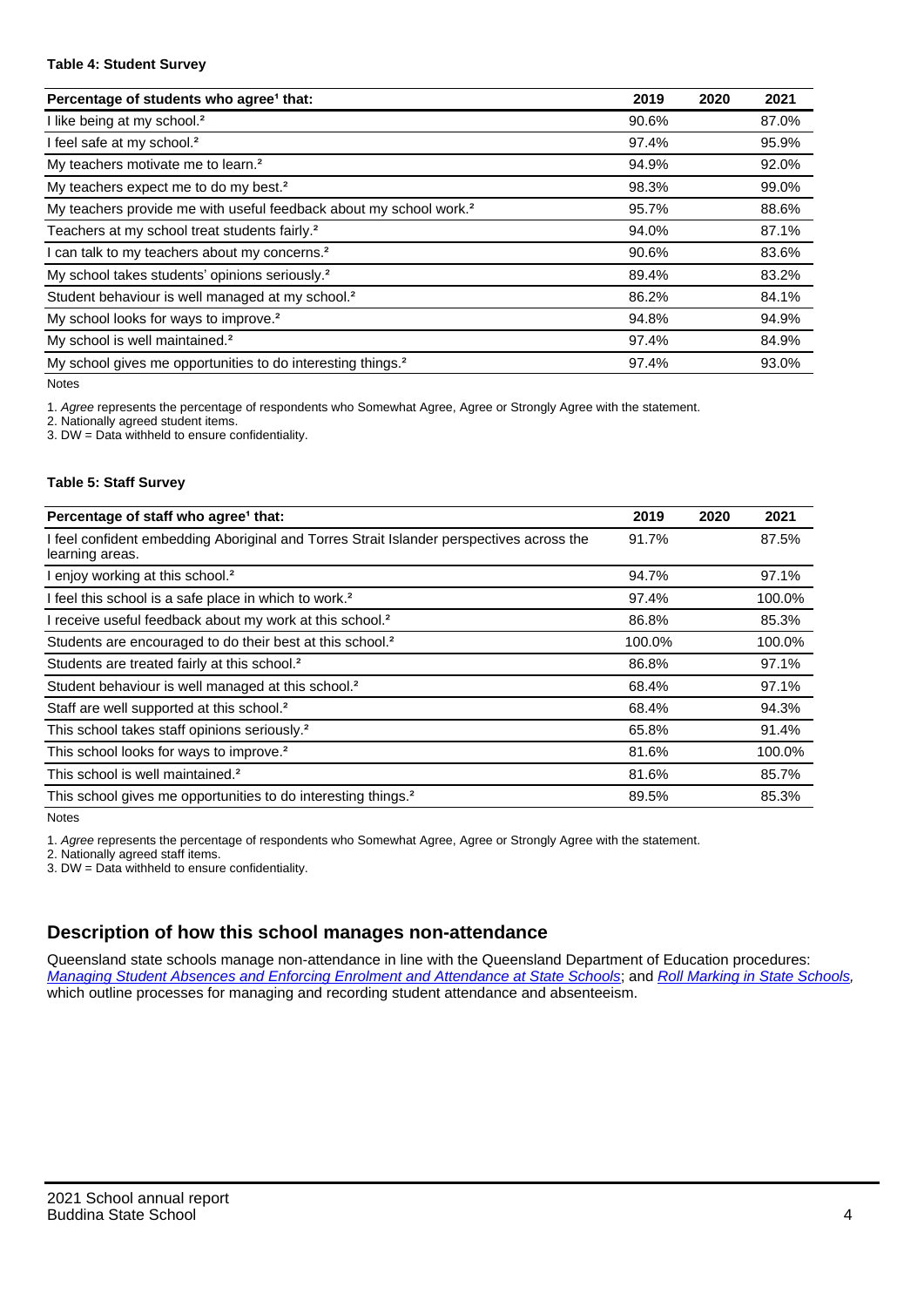#### **Table 4: Student Survey**

| Percentage of students who agree <sup>1</sup> that:                            | 2019  | 2020 | 2021  |
|--------------------------------------------------------------------------------|-------|------|-------|
| I like being at my school. <sup>2</sup>                                        | 90.6% |      | 87.0% |
| I feel safe at my school. <sup>2</sup>                                         | 97.4% |      | 95.9% |
| My teachers motivate me to learn. <sup>2</sup>                                 | 94.9% |      | 92.0% |
| My teachers expect me to do my best. <sup>2</sup>                              | 98.3% |      | 99.0% |
| My teachers provide me with useful feedback about my school work. <sup>2</sup> | 95.7% |      | 88.6% |
| Teachers at my school treat students fairly. <sup>2</sup>                      | 94.0% |      | 87.1% |
| I can talk to my teachers about my concerns. <sup>2</sup>                      | 90.6% |      | 83.6% |
| My school takes students' opinions seriously. <sup>2</sup>                     | 89.4% |      | 83.2% |
| Student behaviour is well managed at my school. <sup>2</sup>                   | 86.2% |      | 84.1% |
| My school looks for ways to improve. <sup>2</sup>                              | 94.8% |      | 94.9% |
| My school is well maintained. <sup>2</sup>                                     | 97.4% |      | 84.9% |
| My school gives me opportunities to do interesting things. <sup>2</sup>        | 97.4% |      | 93.0% |

Notes

1. Agree represents the percentage of respondents who Somewhat Agree, Agree or Strongly Agree with the statement.

2. Nationally agreed student items.

3. DW = Data withheld to ensure confidentiality.

#### **Table 5: Staff Survey**

| Percentage of staff who agree <sup>1</sup> that:                                                            | 2019   | 2020 | 2021   |
|-------------------------------------------------------------------------------------------------------------|--------|------|--------|
| I feel confident embedding Aboriginal and Torres Strait Islander perspectives across the<br>learning areas. | 91.7%  |      | 87.5%  |
| I enjoy working at this school. <sup>2</sup>                                                                | 94.7%  |      | 97.1%  |
| I feel this school is a safe place in which to work. <sup>2</sup>                                           | 97.4%  |      | 100.0% |
| I receive useful feedback about my work at this school. <sup>2</sup>                                        | 86.8%  |      | 85.3%  |
| Students are encouraged to do their best at this school. <sup>2</sup>                                       | 100.0% |      | 100.0% |
| Students are treated fairly at this school. <sup>2</sup>                                                    | 86.8%  |      | 97.1%  |
| Student behaviour is well managed at this school. <sup>2</sup>                                              | 68.4%  |      | 97.1%  |
| Staff are well supported at this school. <sup>2</sup>                                                       | 68.4%  |      | 94.3%  |
| This school takes staff opinions seriously. <sup>2</sup>                                                    | 65.8%  |      | 91.4%  |
| This school looks for ways to improve. <sup>2</sup>                                                         | 81.6%  |      | 100.0% |
| This school is well maintained. <sup>2</sup>                                                                | 81.6%  |      | 85.7%  |
| This school gives me opportunities to do interesting things. <sup>2</sup>                                   | 89.5%  |      | 85.3%  |

Notes

1. Agree represents the percentage of respondents who Somewhat Agree, Agree or Strongly Agree with the statement.

2. Nationally agreed staff items.

3. DW = Data withheld to ensure confidentiality.

## **Description of how this school manages non-attendance**

Queensland state schools manage non-attendance in line with the Queensland Department of Education procedures: [Managing Student Absences and Enforcing Enrolment and Attendance at State Schools](https://ppr.qed.qld.gov.au/pp/managing-student-absences-and-enforcing-enrolment-and-attendance-at-state-schools-procedure); and [Roll Marking in State Schools,](https://ppr.qed.qld.gov.au/pp/roll-marking-in-state-schools-procedure) which outline processes for managing and recording student attendance and absenteeism.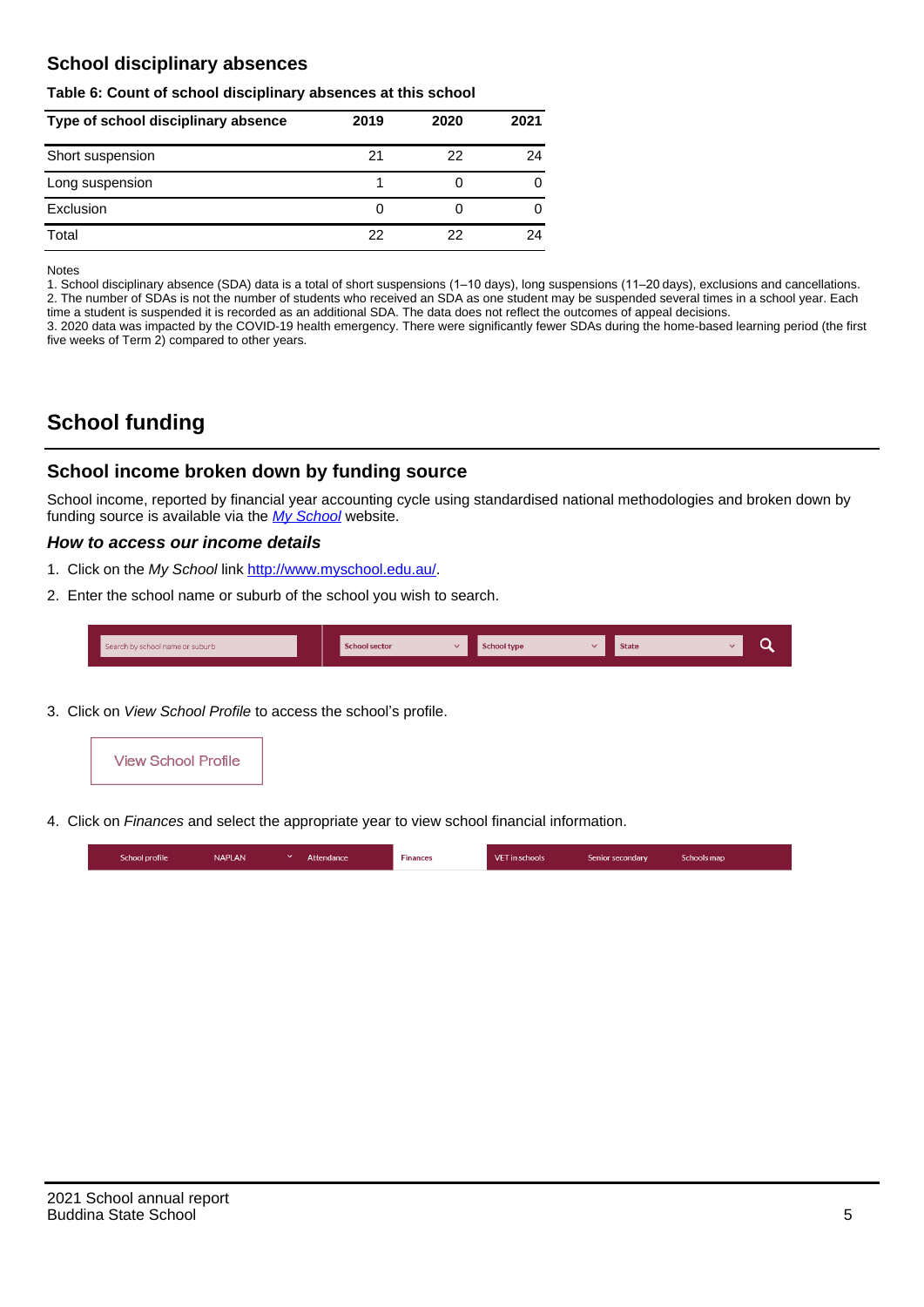## **School disciplinary absences**

#### **Table 6: Count of school disciplinary absences at this school**

| Type of school disciplinary absence | 2019 | 2020 | 2021 |
|-------------------------------------|------|------|------|
| Short suspension                    | 21   | 22   | 24   |
| Long suspension                     |      |      |      |
| Exclusion                           | 0    |      | 0    |
| Total                               | 22   | 22   | 24   |

Notes

1. School disciplinary absence (SDA) data is a total of short suspensions (1–10 days), long suspensions (11–20 days), exclusions and cancellations. 2. The number of SDAs is not the number of students who received an SDA as one student may be suspended several times in a school year. Each time a student is suspended it is recorded as an additional SDA. The data does not reflect the outcomes of appeal decisions.

3. 2020 data was impacted by the COVID-19 health emergency. There were significantly fewer SDAs during the home-based learning period (the first five weeks of Term 2) compared to other years.

# **School funding**

## **School income broken down by funding source**

School income, reported by financial year accounting cycle using standardised national methodologies and broken down by funding source is available via the  $My$  School website.

#### **How to access our income details**

- 1. Click on the My School link <http://www.myschool.edu.au/>.
- 2. Enter the school name or suburb of the school you wish to search.

|  | Search by school name or suburb |  | <b>School sector</b> |  | $\sim$ and $\sim$ represents the set of $\sim$ | <b>State</b> |  |  |  |
|--|---------------------------------|--|----------------------|--|------------------------------------------------|--------------|--|--|--|
|--|---------------------------------|--|----------------------|--|------------------------------------------------|--------------|--|--|--|

3. Click on View School Profile to access the school's profile.



4. Click on Finances and select the appropriate year to view school financial information.

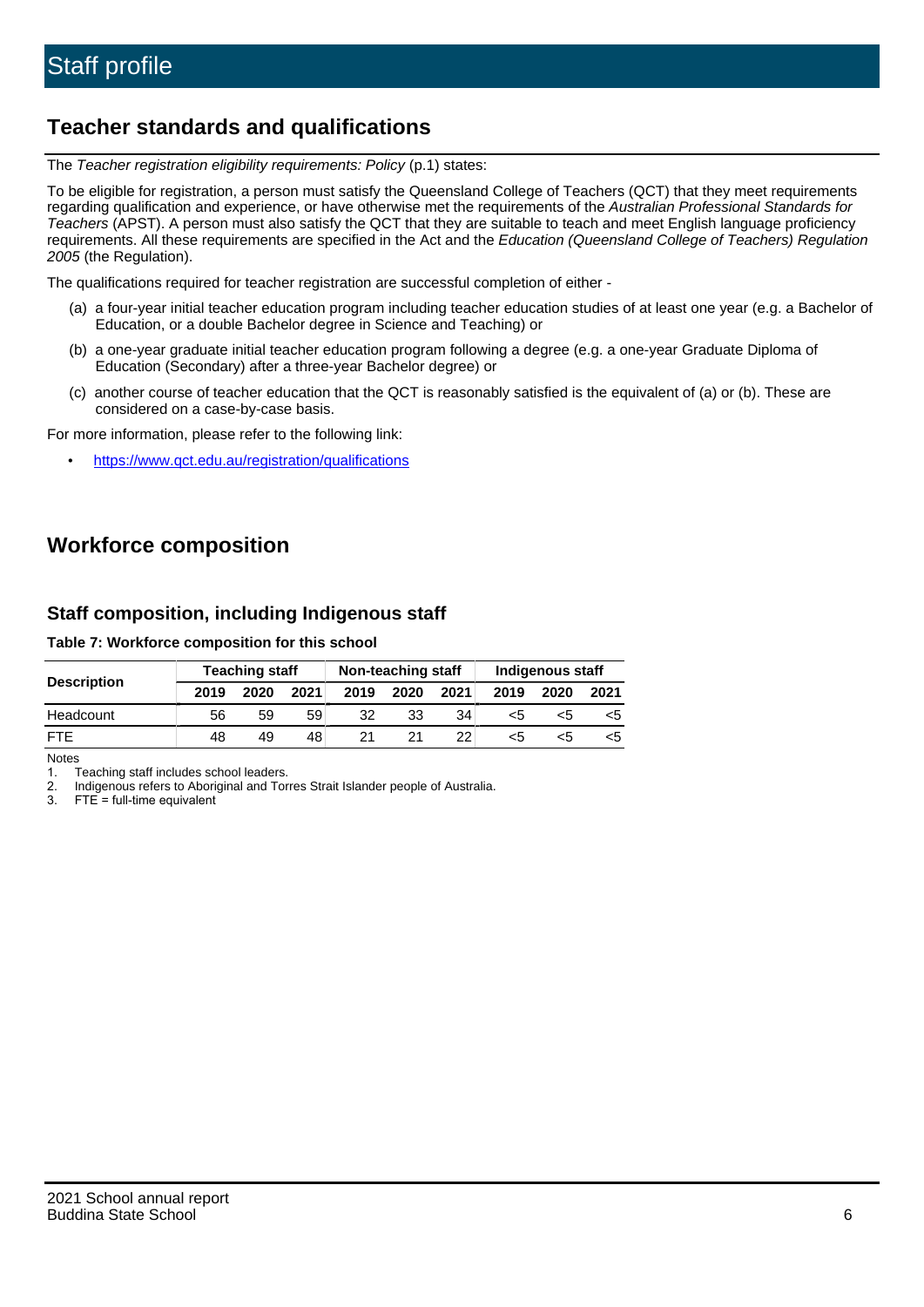# **Teacher standards and qualifications**

The Teacher registration eligibility requirements: Policy (p.1) states:

To be eligible for registration, a person must satisfy the Queensland College of Teachers (QCT) that they meet requirements regarding qualification and experience, or have otherwise met the requirements of the Australian Professional Standards for Teachers (APST). A person must also satisfy the QCT that they are suitable to teach and meet English language proficiency requirements. All these requirements are specified in the Act and the Education (Queensland College of Teachers) Regulation 2005 (the Regulation).

The qualifications required for teacher registration are successful completion of either -

- (a) a four-year initial teacher education program including teacher education studies of at least one year (e.g. a Bachelor of Education, or a double Bachelor degree in Science and Teaching) or
- (b) a one-year graduate initial teacher education program following a degree (e.g. a one-year Graduate Diploma of Education (Secondary) after a three-year Bachelor degree) or
- (c) another course of teacher education that the QCT is reasonably satisfied is the equivalent of (a) or (b). These are considered on a case-by-case basis.

For more information, please refer to the following link:

• <https://www.qct.edu.au/registration/qualifications>

# **Workforce composition**

## **Staff composition, including Indigenous staff**

#### **Table 7: Workforce composition for this school**

|                    |      | <b>Teaching staff</b> |      | Non-teaching staff |      |      | Indigenous staff |      |      |
|--------------------|------|-----------------------|------|--------------------|------|------|------------------|------|------|
| <b>Description</b> | 2019 | 2020                  | 2021 | 2019               | 2020 | 2021 | 2019             | 2020 | 2021 |
| Headcount          | 56   | 59                    | 59   | 32                 | 33   | 34   | <5               | <5   |      |
| <b>FTF</b>         | 48   | 49                    | 48   |                    | 21   | 22   | <5               | ה>   |      |

Notes

1. Teaching staff includes school leaders.

2. Indigenous refers to Aboriginal and Torres Strait Islander people of Australia.

3. FTE = full-time equivalent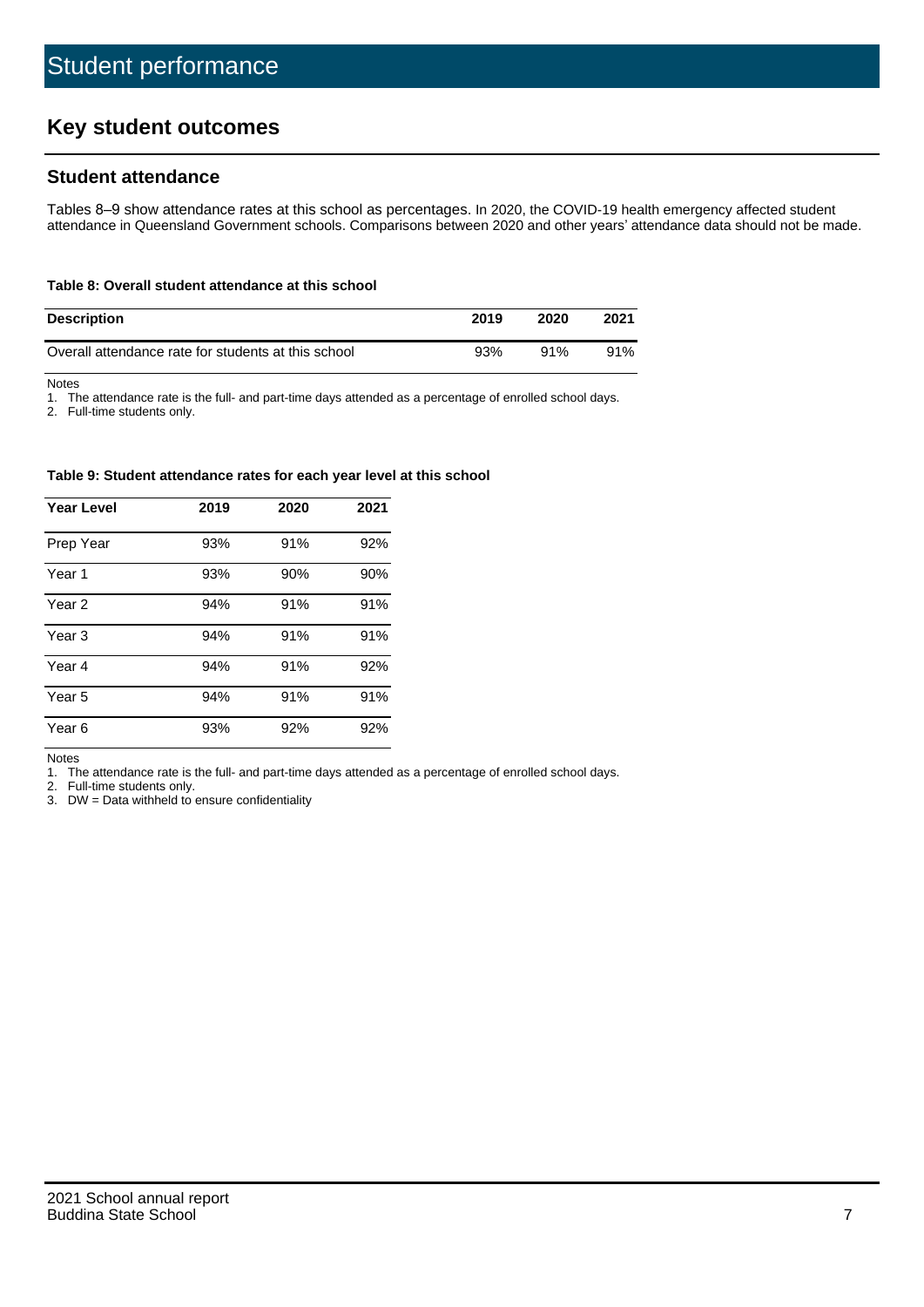# **Key student outcomes**

## **Student attendance**

Tables 8–9 show attendance rates at this school as percentages. In 2020, the COVID-19 health emergency affected student attendance in Queensland Government schools. Comparisons between 2020 and other years' attendance data should not be made.

#### **Table 8: Overall student attendance at this school**

| <b>Description</b>                                  | 2019 | 2020 | 2021 |
|-----------------------------------------------------|------|------|------|
| Overall attendance rate for students at this school | 93%  | 91%  | 91%  |

Notes

1. The attendance rate is the full- and part-time days attended as a percentage of enrolled school days.

2. Full-time students only.

#### **Table 9: Student attendance rates for each year level at this school**

| <b>Year Level</b> | 2019 | 2020 | 2021 |
|-------------------|------|------|------|
| Prep Year         | 93%  | 91%  | 92%  |
| Year 1            | 93%  | 90%  | 90%  |
| Year 2            | 94%  | 91%  | 91%  |
| Year <sub>3</sub> | 94%  | 91%  | 91%  |
| Year 4            | 94%  | 91%  | 92%  |
| Year 5            | 94%  | 91%  | 91%  |
| Year <sub>6</sub> | 93%  | 92%  | 92%  |

Notes

1. The attendance rate is the full- and part-time days attended as a percentage of enrolled school days.

2. Full-time students only.

3. DW = Data withheld to ensure confidentiality